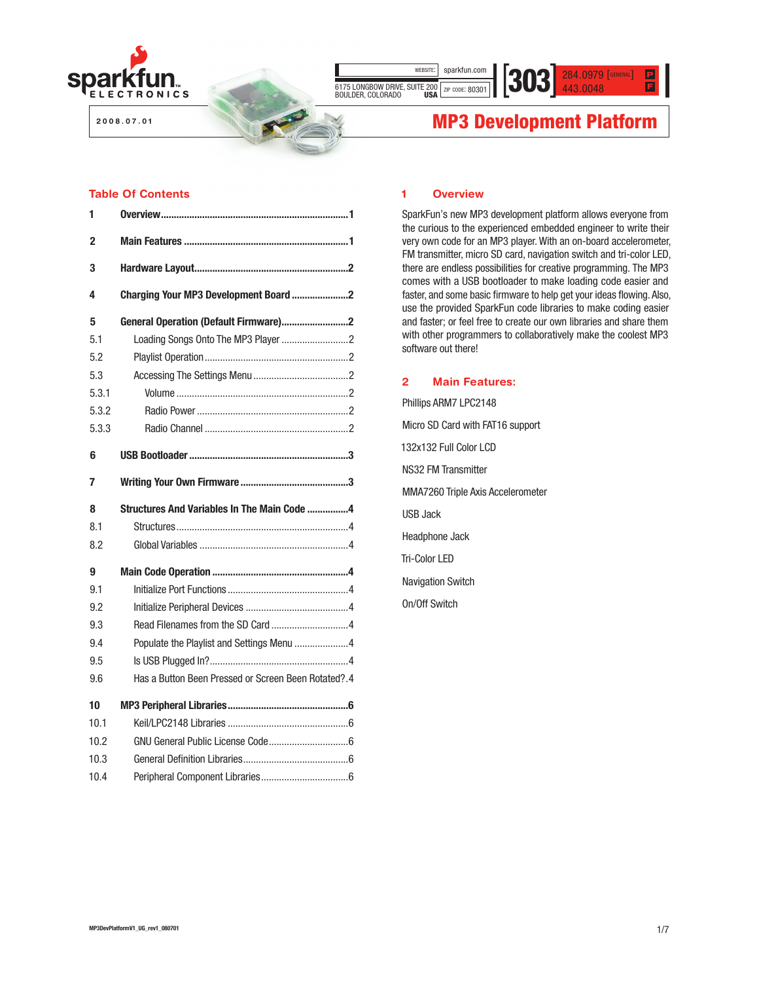

**Sharing Ingenuity**

6175 LONGBOW DRIVE, SUITE 200 ZIP CODE: 80301

443.0048 WEBSITE: SPACKTUN.COM  $\text{303.01}\left[\text{S} \text{13.0048}\right]$ 

# **2008.0008.000 MP3 Development Platform**

# Table Of Contents

| 1     |                                                     |
|-------|-----------------------------------------------------|
| 2     |                                                     |
| 3     |                                                     |
| 4     | Charging Your MP3 Development Board 2               |
| 5     | General Operation (Default Firmware)2               |
| 5.1   |                                                     |
| 5.2   |                                                     |
| 5.3   |                                                     |
| 5.3.1 |                                                     |
| 5.3.2 |                                                     |
| 5.3.3 |                                                     |
| 6     |                                                     |
| 7     |                                                     |
|       |                                                     |
| 8     | Structures And Variables In The Main Code 4         |
| 8.1   |                                                     |
| 8.2   |                                                     |
| 9     |                                                     |
| 9.1   |                                                     |
| 9.2   |                                                     |
| 9.3   |                                                     |
| 9.4   | Populate the Playlist and Settings Menu 4           |
| 9.5   |                                                     |
| 9.6   | Has a Button Been Pressed or Screen Been Rotated?.4 |
| 10    |                                                     |
| 10.1  |                                                     |
| 10.2  |                                                     |
| 10.3  |                                                     |

### 1 Overview

wEBSITE: sparkfun.com

SparkFun's new MP3 development platform allows everyone from the curious to the experienced embedded engineer to write their very own code for an MP3 player. With an on-board accelerometer, FM transmitter, micro SD card, navigation switch and tri-color LED, there are endless possibilities for creative programming. The MP3 comes with a USB bootloader to make loading code easier and faster, and some basic firmware to help get your ideas flowing. Also, use the provided SparkFun code libraries to make coding easier and faster; or feel free to create our own libraries and share them with other programmers to collaboratively make the coolest MP3 software out there!

# 2 Main Features:

Phillips ARM7 LPC2148 Micro SD Card with FAT16 support 132x132 Full Color LCD NS32 FM Transmitter MMA7260 Triple Axis Accelerometer USB Jack Headphone Jack Tri-Color LED Navigation Switch On/Off Switch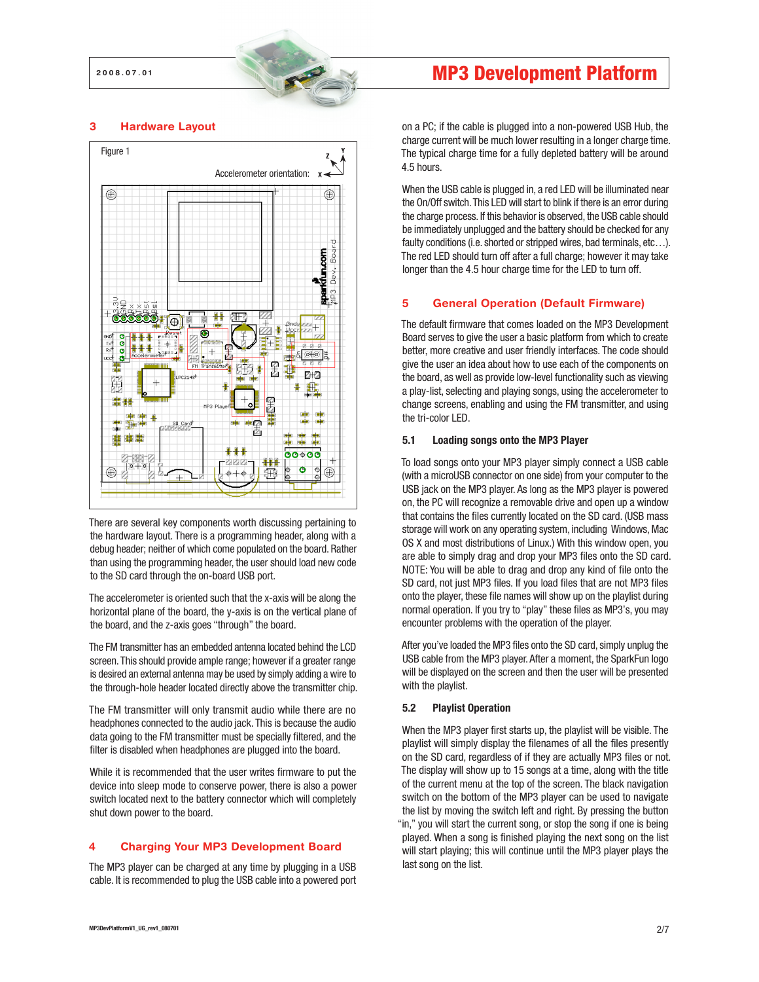#### 3 Hardware Layout



There are several key components worth discussing pertaining to the hardware layout. There is a programming header, along with a debug header; neither of which come populated on the board. Rather than using the programming header, the user should load new code to the SD card through the on-board USB port.

The accelerometer is oriented such that the x-axis will be along the horizontal plane of the board, the y-axis is on the vertical plane of the board, and the z-axis goes "through" the board.

The FM transmitter has an embedded antenna located behind the LCD screen. This should provide ample range; however if a greater range is desired an external antenna may be used by simply adding a wire to the through-hole header located directly above the transmitter chip.

The FM transmitter will only transmit audio while there are no headphones connected to the audio jack. This is because the audio data going to the FM transmitter must be specially filtered, and the filter is disabled when headphones are plugged into the board.

While it is recommended that the user writes firmware to put the device into sleep mode to conserve power, there is also a power switch located next to the battery connector which will completely shut down power to the board.

# 4 Charging Your MP3 Development Board

The MP3 player can be charged at any time by plugging in a USB cable. It is recommended to plug the USB cable into a powered port on a PC; if the cable is plugged into a non-powered USB Hub, the charge current will be much lower resulting in a longer charge time. The typical charge time for a fully depleted battery will be around 4.5 hours.

When the USB cable is plugged in, a red LED will be illuminated near the On/Off switch. This LED will start to blink if there is an error during the charge process. If this behavior is observed, the USB cable should be immediately unplugged and the battery should be checked for any faulty conditions (i.e. shorted or stripped wires, bad terminals, etc...). The red LED should turn off after a full charge; however it may take longer than the 4.5 hour charge time for the LED to turn off.

### 5 General Operation (Default Firmware)

The default firmware that comes loaded on the MP3 Development Board serves to give the user a basic platform from which to create better, more creative and user friendly interfaces. The code should give the user an idea about how to use each of the components on the board, as well as provide low-level functionality such as viewing a play-list, selecting and playing songs, using the accelerometer to change screens, enabling and using the FM transmitter, and using the tri-color LED.

#### 5.1 Loading songs onto the MP3 Player

To load songs onto your MP3 player simply connect a USB cable (with a microUSB connector on one side) from your computer to the USB jack on the MP3 player. As long as the MP3 player is powered on, the PC will recognize a removable drive and open up a window that contains the files currently located on the SD card. (USB mass storage will work on any operating system, including Windows, Mac OS X and most distributions of Linux.) With this window open, you are able to simply drag and drop your MP3 files onto the SD card. NOTE: You will be able to drag and drop any kind of file onto the SD card, not just MP3 files. If you load files that are not MP3 files onto the player, these file names will show up on the playlist during normal operation. If you try to "play" these files as MP3's, you may encounter problems with the operation of the player.

After you've loaded the MP3 files onto the SD card, simply unplug the USB cable from the MP3 player. After a moment, the SparkFun logo will be displayed on the screen and then the user will be presented with the playlist.

# 5.2 Playlist Operation

When the MP3 player first starts up, the playlist will be visible. The playlist will simply display the filenames of all the files presently on the SD card, regardless of if they are actually MP3 files or not. The display will show up to 15 songs at a time, along with the title of the current menu at the top of the screen. The black navigation switch on the bottom of the MP3 player can be used to navigate the list by moving the switch left and right. By pressing the button "in," you will start the current song, or stop the song if one is being played. When a song is finished playing the next song on the list will start playing; this will continue until the MP3 player plays the last song on the list.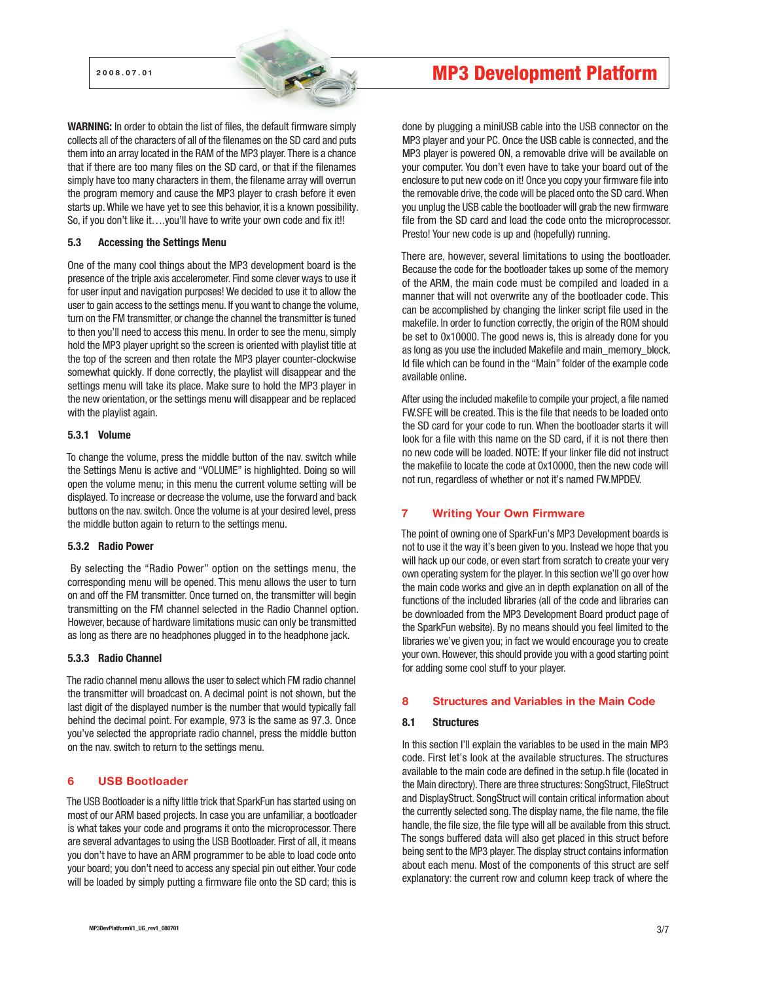WARNING: In order to obtain the list of files, the default firmware simply collects all of the characters of all of the filenames on the SD card and puts them into an array located in the RAM of the MP3 player. There is a chance that if there are too many files on the SD card, or that if the filenames simply have too many characters in them, the filename array will overrun the program memory and cause the MP3 player to crash before it even starts up. While we have yet to see this behavior, it is a known possibility. So, if you don't like it....you'll have to write your own code and fix it!!

#### 5.3 Accessing the Settings Menu

One of the many cool things about the MP3 development board is the presence of the triple axis accelerometer. Find some clever ways to use it for user input and navigation purposes! We decided to use it to allow the user to gain access to the settings menu. If you want to change the volume, turn on the FM transmitter, or change the channel the transmitter is tuned to then you'll need to access this menu. In order to see the menu, simply hold the MP3 player upright so the screen is oriented with playlist title at the top of the screen and then rotate the MP3 player counter-clockwise somewhat quickly. If done correctly, the playlist will disappear and the settings menu will take its place. Make sure to hold the MP3 player in the new orientation, or the settings menu will disappear and be replaced with the playlist again.

#### 5.3.1 Volume

To change the volume, press the middle button of the nav. switch while the Settings Menu is active and "VOLUME" is highlighted. Doing so will open the volume menu; in this menu the current volume setting will be displayed. To increase or decrease the volume, use the forward and back buttons on the nav. switch. Once the volume is at your desired level, press the middle button again to return to the settings menu.

#### 5.3.2 Radio Power

By selecting the "Radio Power" option on the settings menu, the corresponding menu will be opened. This menu allows the user to turn on and off the FM transmitter. Once turned on, the transmitter will begin transmitting on the FM channel selected in the Radio Channel option. However, because of hardware limitations music can only be transmitted as long as there are no headphones plugged in to the headphone jack.

#### 5.3.3 Radio Channel

The radio channel menu allows the user to select which FM radio channel the transmitter will broadcast on. A decimal point is not shown, but the last digit of the displayed number is the number that would typically fall behind the decimal point. For example, 973 is the same as 97.3. Once you've selected the appropriate radio channel, press the middle button on the nav. switch to return to the settings menu.

# 6 USB Bootloader

The USB Bootloader is a nifty little trick that SparkFun has started using on most of our ARM based projects. In case you are unfamiliar, a bootloader is what takes your code and programs it onto the microprocessor. There are several advantages to using the USB Bootloader. First of all, it means you don't have to have an ARM programmer to be able to load code onto your board; you don't need to access any special pin out either. Your code will be loaded by simply putting a firmware file onto the SD card; this is

done by plugging a miniUSB cable into the USB connector on the MP3 player and your PC. Once the USB cable is connected, and the MP3 player is powered ON, a removable drive will be available on your computer. You don't even have to take your board out of the enclosure to put new code on it! Once you copy your firmware file into the removable drive, the code will be placed onto the SD card. When you unplug the USB cable the bootloader will grab the new firmware file from the SD card and load the code onto the microprocessor. Presto! Your new code is up and (hopefully) running.

There are, however, several limitations to using the bootloader. Because the code for the bootloader takes up some of the memory of the ARM, the main code must be compiled and loaded in a manner that will not overwrite any of the bootloader code. This can be accomplished by changing the linker script file used in the makefile. In order to function correctly, the origin of the ROM should be set to 0x10000. The good news is, this is already done for you as long as you use the included Makefile and main memory block. ld file which can be found in the "Main" folder of the example code available online.

After using the included makefile to compile your project, a file named FW.SFE will be created. This is the file that needs to be loaded onto the SD card for your code to run. When the bootloader starts it will look for a file with this name on the SD card, if it is not there then no new code will be loaded. NOTE: If your linker file did not instruct the makefile to locate the code at 0x10000, then the new code will not run, regardless of whether or not it's named FW.MPDEV.

# 7 Writing Your Own Firmware

The point of owning one of SparkFun's MP3 Development boards is not to use it the way it's been given to you. Instead we hope that you will hack up our code, or even start from scratch to create your very own operating system for the player. In this section we'll go over how the main code works and give an in depth explanation on all of the functions of the included libraries (all of the code and libraries can be downloaded from the MP3 Development Board product page of the SparkFun website). By no means should you feel limited to the libraries we've given you; in fact we would encourage you to create your own. However, this should provide you with a good starting point for adding some cool stuff to your player.

# 8 Structures and Variables in the Main Code

#### 8.1 Structures

In this section I'll explain the variables to be used in the main MP3 code. First let's look at the available structures. The structures available to the main code are defined in the setup.h file (located in the Main directory). There are three structures: SongStruct, FileStruct and DisplayStruct. SongStruct will contain critical information about the currently selected song. The display name, the file name, the file handle, the file size, the file type will all be available from this struct. The songs buffered data will also get placed in this struct before being sent to the MP3 player. The display struct contains information about each menu. Most of the components of this struct are self explanatory: the current row and column keep track of where the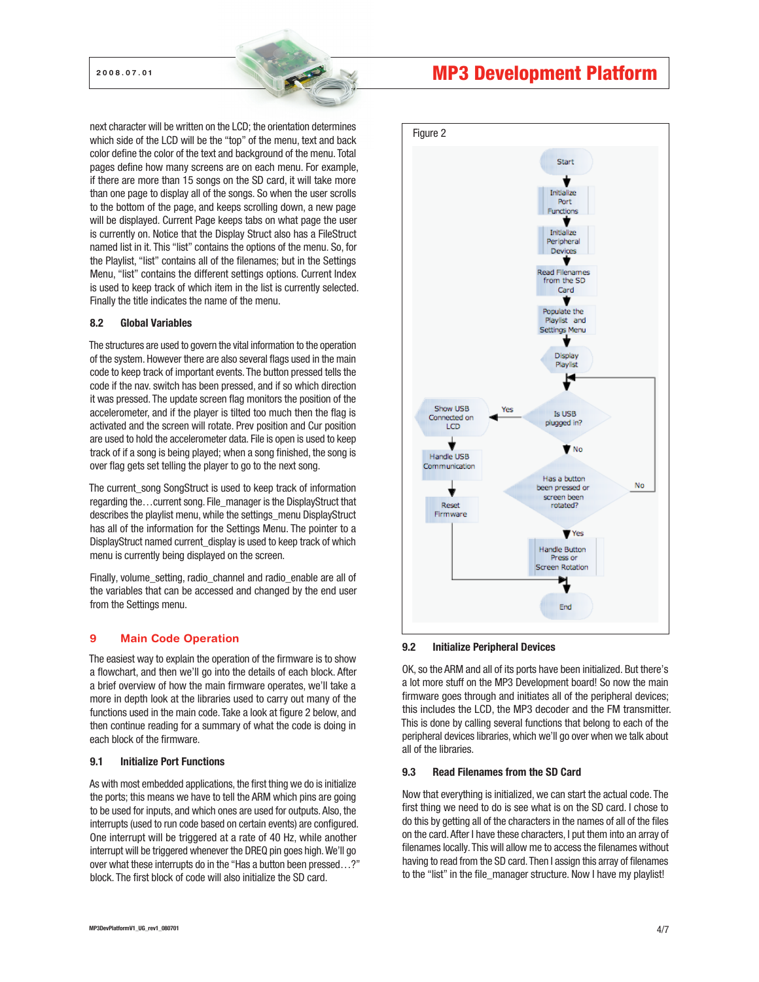next character will be written on the LCD; the orientation determines which side of the LCD will be the "top" of the menu, text and back color define the color of the text and background of the menu. Total pages define how many screens are on each menu. For example, if there are more than 15 songs on the SD card, it will take more than one page to display all of the songs. So when the user scrolls to the bottom of the page, and keeps scrolling down, a new page will be displayed. Current Page keeps tabs on what page the user is currently on. Notice that the Display Struct also has a FileStruct named list in it. This "list" contains the options of the menu. So, for the Playlist, "list" contains all of the filenames; but in the Settings Menu, "list" contains the different settings options. Current Index is used to keep track of which item in the list is currently selected. Finally the title indicates the name of the menu.

#### 8.2 Global Variables

The structures are used to govern the vital information to the operation of the system. However there are also several flags used in the main code to keep track of important events. The button pressed tells the code if the nav. switch has been pressed, and if so which direction it was pressed. The update screen flag monitors the position of the accelerometer, and if the player is tilted too much then the flag is activated and the screen will rotate. Prev position and Cur position are used to hold the accelerometer data. File is open is used to keep track of if a song is being played; when a song finished, the song is over flag gets set telling the player to go to the next song.

The current song SongStruct is used to keep track of information regarding the…current song. File\_manager is the DisplayStruct that describes the playlist menu, while the settings\_menu DisplayStruct has all of the information for the Settings Menu. The pointer to a DisplayStruct named current\_display is used to keep track of which menu is currently being displayed on the screen.

Finally, volume\_setting, radio\_channel and radio\_enable are all of the variables that can be accessed and changed by the end user from the Settings menu.

# 9 Main Code Operation

The easiest way to explain the operation of the firmware is to show a flowchart, and then we'll go into the details of each block. After a brief overview of how the main firmware operates, we'll take a more in depth look at the libraries used to carry out many of the functions used in the main code. Take a look at figure 2 below, and then continue reading for a summary of what the code is doing in each block of the firmware.

#### 9.1 Initialize Port Functions

As with most embedded applications, the first thing we do is initialize the ports; this means we have to tell the ARM which pins are going to be used for inputs, and which ones are used for outputs. Also, the interrupts (used to run code based on certain events) are configured. One interrupt will be triggered at a rate of 40 Hz, while another interrupt will be triggered whenever the DREQ pin goes high. We'll go over what these interrupts do in the "Has a button been pressed…?" block. The first block of code will also initialize the SD card.



#### 9.2 Initialize Peripheral Devices

OK, so the ARM and all of its ports have been initialized. But there's a lot more stuff on the MP3 Development board! So now the main firmware goes through and initiates all of the peripheral devices; this includes the LCD, the MP3 decoder and the FM transmitter. This is done by calling several functions that belong to each of the peripheral devices libraries, which we'll go over when we talk about all of the libraries.

# 9.3 Read Filenames from the SD Card

Now that everything is initialized, we can start the actual code. The first thing we need to do is see what is on the SD card. I chose to do this by getting all of the characters in the names of all of the files on the card. After I have these characters, I put them into an array of filenames locally. This will allow me to access the filenames without having to read from the SD card. Then I assign this array of filenames to the "list" in the file\_manager structure. Now I have my playlist!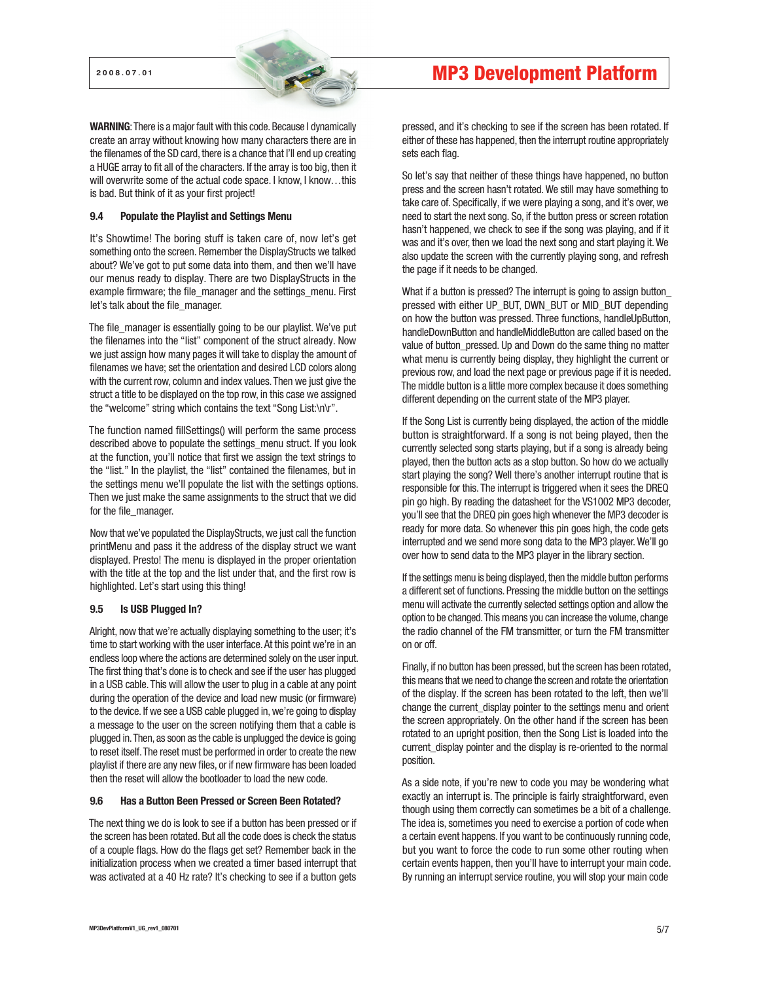WARNING: There is a major fault with this code. Because I dynamically create an array without knowing how many characters there are in the filenames of the SD card, there is a chance that I'll end up creating a HUGE array to fit all of the characters. If the array is too big, then it will overwrite some of the actual code space. I know, I know, ..this is bad. But think of it as your first project!

#### 9.4 Populate the Playlist and Settings Menu

It's Showtime! The boring stuff is taken care of, now let's get something onto the screen. Remember the DisplayStructs we talked about? We've got to put some data into them, and then we'll have our menus ready to display. There are two DisplayStructs in the example firmware; the file\_manager and the settings\_menu. First let's talk about the file\_manager.

The file\_manager is essentially going to be our playlist. We've put the filenames into the "list" component of the struct already. Now we just assign how many pages it will take to display the amount of filenames we have; set the orientation and desired LCD colors along with the current row, column and index values. Then we just give the struct a title to be displayed on the top row, in this case we assigned the "welcome" string which contains the text "Song List:\n\r".

The function named fillSettings() will perform the same process described above to populate the settings\_menu struct. If you look at the function, you'll notice that first we assign the text strings to the "list." In the playlist, the "list" contained the filenames, but in the settings menu we'll populate the list with the settings options. Then we just make the same assignments to the struct that we did for the file\_manager.

Now that we've populated the DisplayStructs, we just call the function printMenu and pass it the address of the display struct we want displayed. Presto! The menu is displayed in the proper orientation with the title at the top and the list under that, and the first row is highlighted. Let's start using this thing!

#### 9.5 Is USB Plugged In?

Alright, now that we're actually displaying something to the user; it's time to start working with the user interface. At this point we're in an endless loop where the actions are determined solely on the user input. The first thing that's done is to check and see if the user has plugged in a USB cable. This will allow the user to plug in a cable at any point during the operation of the device and load new music (or firmware) to the device. If we see a USB cable plugged in, we're going to display a message to the user on the screen notifying them that a cable is plugged in. Then, as soon as the cable is unplugged the device is going to reset itself. The reset must be performed in order to create the new playlist if there are any new files, or if new firmware has been loaded then the reset will allow the bootloader to load the new code.

#### 9.6 Has a Button Been Pressed or Screen Been Rotated?

The next thing we do is look to see if a button has been pressed or if the screen has been rotated. But all the code does is check the status of a couple flags. How do the flags get set? Remember back in the initialization process when we created a timer based interrupt that was activated at a 40 Hz rate? It's checking to see if a button gets

# 2008.07.01 MP3 Development Platform

pressed, and it's checking to see if the screen has been rotated. If either of these has happened, then the interrupt routine appropriately sets each flag.

So let's say that neither of these things have happened, no button press and the screen hasn't rotated. We still may have something to take care of. Specifically, if we were playing a song, and it's over, we need to start the next song. So, if the button press or screen rotation hasn't happened, we check to see if the song was playing, and if it was and it's over, then we load the next song and start playing it. We also update the screen with the currently playing song, and refresh the page if it needs to be changed.

What if a button is pressed? The interrupt is going to assign button pressed with either UP\_BUT, DWN\_BUT or MID\_BUT depending on how the button was pressed. Three functions, handleUpButton, handleDownButton and handleMiddleButton are called based on the value of button\_pressed. Up and Down do the same thing no matter what menu is currently being display, they highlight the current or previous row, and load the next page or previous page if it is needed. The middle button is a little more complex because it does something different depending on the current state of the MP3 player.

If the Song List is currently being displayed, the action of the middle button is straightforward. If a song is not being played, then the currently selected song starts playing, but if a song is already being played, then the button acts as a stop button. So how do we actually start playing the song? Well there's another interrupt routine that is responsible for this. The interrupt is triggered when it sees the DREQ pin go high. By reading the datasheet for the VS1002 MP3 decoder, you'll see that the DREQ pin goes high whenever the MP3 decoder is ready for more data. So whenever this pin goes high, the code gets interrupted and we send more song data to the MP3 player. We'll go over how to send data to the MP3 player in the library section.

If the settings menu is being displayed, then the middle button performs a different set of functions. Pressing the middle button on the settings menu will activate the currently selected settings option and allow the option to be changed. This means you can increase the volume, change the radio channel of the FM transmitter, or turn the FM transmitter on or off.

Finally, if no button has been pressed, but the screen has been rotated, this means that we need to change the screen and rotate the orientation of the display. If the screen has been rotated to the left, then we'll change the current\_display pointer to the settings menu and orient the screen appropriately. On the other hand if the screen has been rotated to an upright position, then the Song List is loaded into the current\_display pointer and the display is re-oriented to the normal position.

As a side note, if you're new to code you may be wondering what exactly an interrupt is. The principle is fairly straightforward, even though using them correctly can sometimes be a bit of a challenge. The idea is, sometimes you need to exercise a portion of code when a certain event happens. If you want to be continuously running code, but you want to force the code to run some other routing when certain events happen, then you'll have to interrupt your main code. By running an interrupt service routine, you will stop your main code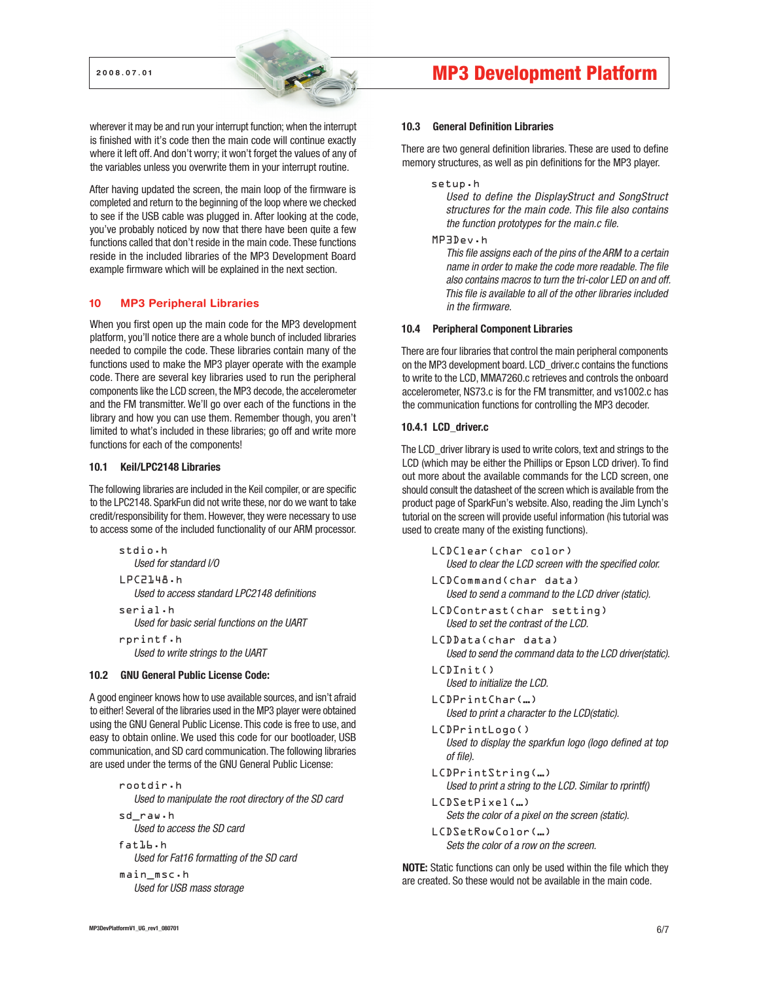wherever it may be and run your interrupt function; when the interrupt is finished with it's code then the main code will continue exactly where it left off. And don't worry; it won't forget the values of any of the variables unless you overwrite them in your interrupt routine.

After having updated the screen, the main loop of the firmware is completed and return to the beginning of the loop where we checked to see if the USB cable was plugged in. After looking at the code, you've probably noticed by now that there have been quite a few functions called that don't reside in the main code. These functions reside in the included libraries of the MP3 Development Board example firmware which will be explained in the next section.

# 10 MP3 Peripheral Libraries

When you first open up the main code for the MP3 development platform, you'll notice there are a whole bunch of included libraries needed to compile the code. These libraries contain many of the functions used to make the MP3 player operate with the example code. There are several key libraries used to run the peripheral components like the LCD screen, the MP3 decode, the accelerometer and the FM transmitter. We'll go over each of the functions in the library and how you can use them. Remember though, you aren't limited to what's included in these libraries; go off and write more functions for each of the components!

# 10.1 Keil/LPC2148 Libraries

The following libraries are included in the Keil compiler, or are specific to the LPC2148. SparkFun did not write these, nor do we want to take credit/responsibility for them. However, they were necessary to use to access some of the included functionality of our ARM processor.

```
stdio.h 
   Used for standard I/O
LPC2148.h
   Used to access standard LPC2148 definitions
serial.h
   Used for basic serial functions on the UART
rprintf.h
```
Used to write strings to the UART

# 10.2 GNU General Public License Code:

A good engineer knows how to use available sources, and isn't afraid to either! Several of the libraries used in the MP3 player were obtained using the GNU General Public License. This code is free to use, and easy to obtain online. We used this code for our bootloader, USB communication, and SD card communication. The following libraries are used under the terms of the GNU General Public License:

```
rootdir.h
   Used to manipulate the root directory of the SD card
sd_raw.h
   Used to access the SD card
fat16.h
```

```
Used for Fat16 formatting of the SD card
```

```
main_msc.h
  Used for USB mass storage
```
# 2008.07.01 MP3 Development Platform

#### 10.3 General Definition Libraries

There are two general definition libraries. These are used to define memory structures, as well as pin definitions for the MP3 player.

```
setup.h
```
Used to define the DisplayStruct and SongStruct structures for the main code. This file also contains the function prototypes for the main.c file.

MP3Dev.h

This file assigns each of the pins of the ARM to a certain name in order to make the code more readable. The file also contains macros to turn the tri-color LED on and off. This file is available to all of the other libraries included in the firmware.

### 10.4 Peripheral Component Libraries

There are four libraries that control the main peripheral components on the MP3 development board. LCD\_driver.c contains the functions to write to the LCD, MMA7260.c retrieves and controls the onboard accelerometer, NS73.c is for the FM transmitter, and vs1002.c has the communication functions for controlling the MP3 decoder.

### 10.4.1 LCD\_driver.c

The LCD\_driver library is used to write colors, text and strings to the LCD (which may be either the Phillips or Epson LCD driver). To find out more about the available commands for the LCD screen, one should consult the datasheet of the screen which is available from the product page of SparkFun's website. Also, reading the Jim Lynch's tutorial on the screen will provide useful information (his tutorial was used to create many of the existing functions).

- LCDClear(char color) Used to clear the LCD screen with the specified color.
- LCDCommand(char data) Used to send a command to the LCD driver (static).
- LCDContrast(char setting) Used to set the contrast of the LCD.
- LCDData(char data) Used to send the command data to the LCD driver(static).
- LCDInit() Used to initialize the LCD.
- LCDPrintChar(…) Used to print a character to the LCD(static).
- LCDPrintLogo() Used to display the sparkfun logo (logo defined at top of file).
- LCDPrintString(…) Used to print a string to the LCD. Similar to rprintf()
- LCDSetPixel(…) Sets the color of a pixel on the screen (static).
- LCDSetRowColor(…) Sets the color of a row on the screen.

NOTE: Static functions can only be used within the file which they are created. So these would not be available in the main code.